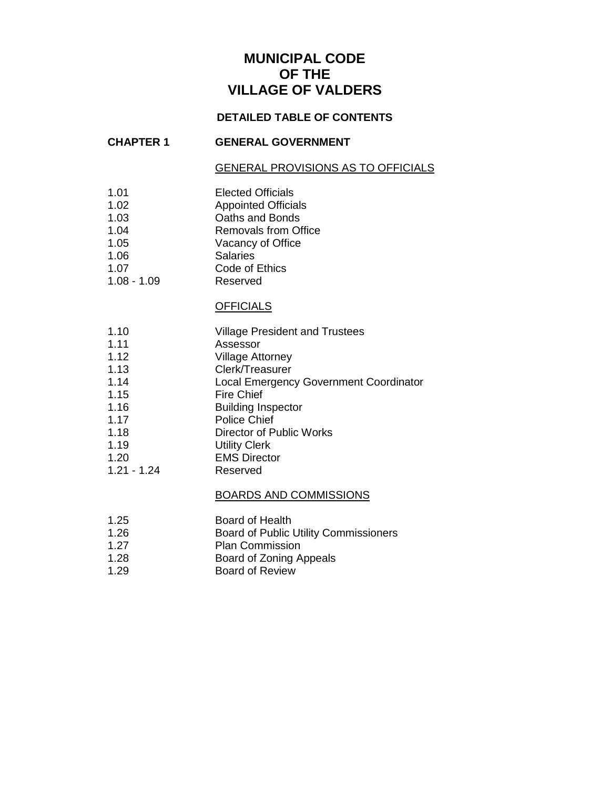# **MUNICIPAL CODE OF THE VILLAGE OF VALDERS**

### **DETAILED TABLE OF CONTENTS**

#### **CHAPTER 1 GENERAL GOVERNMENT**

#### GENERAL PROVISIONS AS TO OFFICIALS

- 1.01 Elected Officials
- 1.02 Appointed Officials
- 1.03 Oaths and Bonds
- 1.04 Removals from Office
- 1.05 Vacancy of Office
- 1.06 Salaries
- 1.07 Code of Ethics<br>
1.08 1.09 Reserved
- $1.08 1.09$

#### **OFFICIALS**

- 1.10 Village President and Trustees
- 1.11 Assessor
- 1.12 Village Attorney
- 1.13 Clerk/Treasurer
- 1.14 Local Emergency Government Coordinator
- 1.15 Fire Chief
- 1.16 Building Inspector
- 1.17 Police Chief
- 1.18 Director of Public Works
- 1.19 Utility Clerk
- 1.20 EMS Director
- 1.21 1.24 Reserved

#### BOARDS AND COMMISSIONS

- 1.25 Board of Health
- 1.26 Board of Public Utility Commissioners
- 1.27 Plan Commission
- 1.28 Board of Zoning Appeals
- 1.29 Board of Review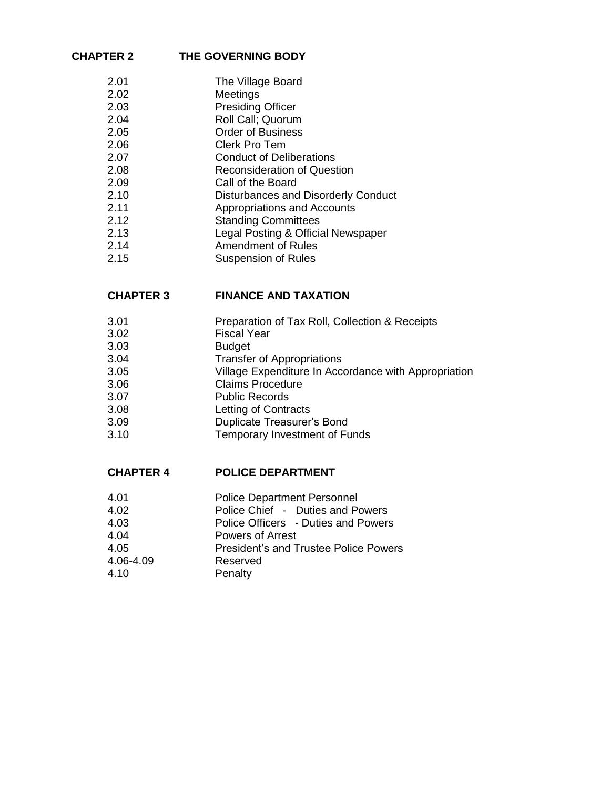### **CHAPTER 2 THE GOVERNING BODY**

2.01 The Village Board<br>2.02 Meetings **Meetings** 2.03 Presiding Officer 2.04 Roll Call; Quorum 2.05 Order of Business 2.06 Clerk Pro Tem 2.07 Conduct of Deliberations 2.08 Reconsideration of Question 2.09 Call of the Board 2.10 Disturbances and Disorderly Conduct 2.11 Appropriations and Accounts 2.12 Standing Committees 2.13 Legal Posting & Official Newspaper 2.14 Amendment of Rules 2.15 Suspension of Rules

#### **CHAPTER 3 FINANCE AND TAXATION**

- 3.01 Preparation of Tax Roll, Collection & Receipts
- 3.02 Fiscal Year
- 3.03 Budget
- 3.04 Transfer of Appropriations
- 3.05 Village Expenditure In Accordance with Appropriation
- 3.06 Claims Procedure
- 3.07 Public Records
- 3.08 Letting of Contracts
- 3.09 Duplicate Treasurer's Bond
- 3.10 Temporary Investment of Funds

#### **CHAPTER 4 POLICE DEPARTMENT**

- 4.01 Police Department Personnel
- 4.02 Police Chief Duties and Powers
- 4.03 Police Officers Duties and Powers
- 4.04 Powers of Arrest
- 4.05 President's and Trustee Police Powers
- 4.06-4.09 Reserved
- 4.10 Penalty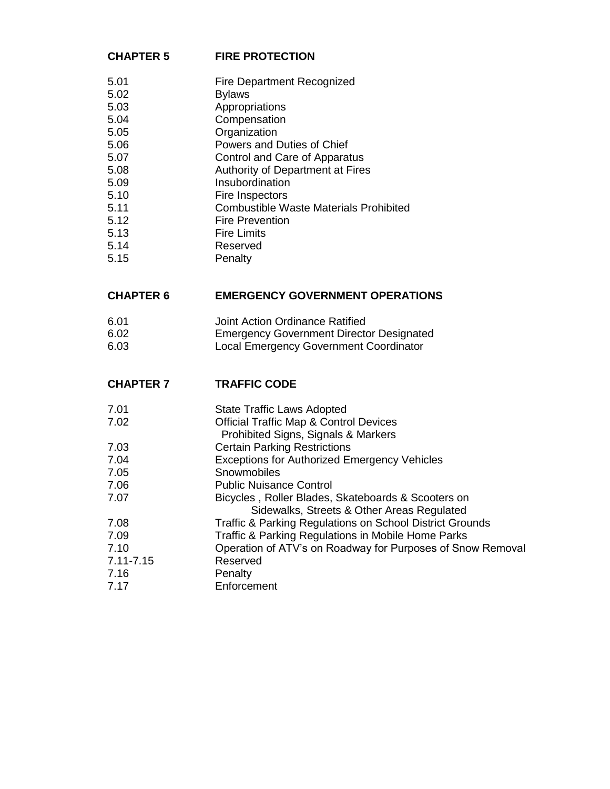### **CHAPTER 5 FIRE PROTECTION**

| 5.01 | <b>Fire Department Recognized</b> |
|------|-----------------------------------|
|      |                                   |

- 5.02 Bylaws
- 5.03 Appropriations
- 5.04 Compensation
- 5.05 Organization
- 5.06 Powers and Duties of Chief
- 5.07 Control and Care of Apparatus
- 5.08 Authority of Department at Fires
- 5.09 Insubordination
- 5.10 Fire Inspectors
- 5.11 Combustible Waste Materials Prohibited
- 5.12 Fire Prevention 5.13 Fire Limits
- 5.14 Reserved
- 5.15 Penalty

## **CHAPTER 6 EMERGENCY GOVERNMENT OPERATIONS**

6.01 Joint Action Ordinance Ratified 6.02 Emergency Government Director Designated 6.03 Local Emergency Government Coordinator

## **CHAPTER 7 TRAFFIC CODE**

7.01 State Traffic Laws Adopted

- 7.02 Official Traffic Map & Control Devices
- Prohibited Signs, Signals & Markers
- 7.03 Certain Parking Restrictions
- 7.04 Exceptions for Authorized Emergency Vehicles
- 7.05 Snowmobiles
- 7.06 Public Nuisance Control
- 7.07 Bicycles , Roller Blades, Skateboards & Scooters on Sidewalks, Streets & Other Areas Regulated
- 7.08 Traffic & Parking Regulations on School District Grounds
- 7.09 Traffic & Parking Regulations in Mobile Home Parks
- 7.10 Operation of ATV's on Roadway for Purposes of Snow Removal
- 7.11-7.15 Reserved
- 7.16 Penalty
- 7.17 Enforcement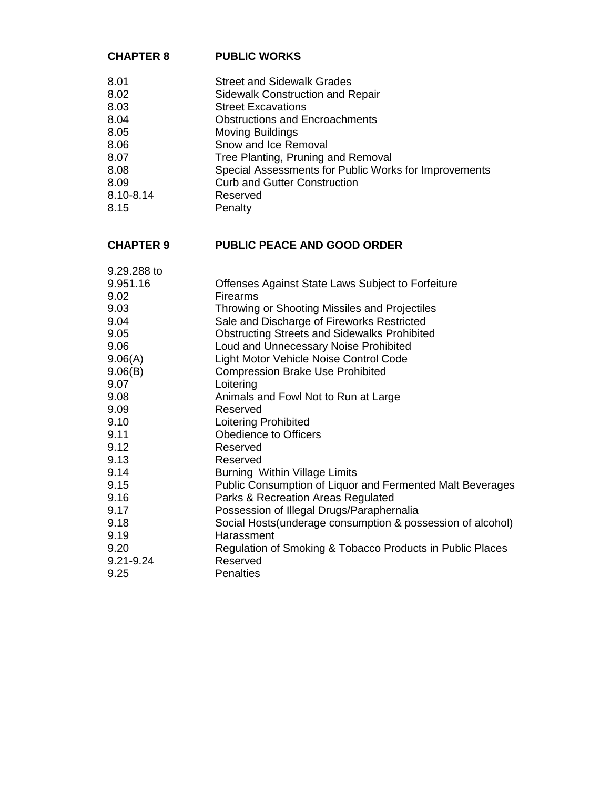### **CHAPTER 8 PUBLIC WORKS**

| 8.01      | <b>Street and Sidewalk Grades</b>                     |
|-----------|-------------------------------------------------------|
| 8.02      | Sidewalk Construction and Repair                      |
| 8.03      | <b>Street Excavations</b>                             |
| 8.04      | <b>Obstructions and Encroachments</b>                 |
| 8.05      | <b>Moving Buildings</b>                               |
| 8.06      | Snow and Ice Removal                                  |
| 8.07      | Tree Planting, Pruning and Removal                    |
| 8.08      | Special Assessments for Public Works for Improvements |
| 8.09      | <b>Curb and Gutter Construction</b>                   |
| 8.10-8.14 | Reserved                                              |
| 8.15      | Penalty                                               |
|           |                                                       |

# **CHAPTER 9 PUBLIC PEACE AND GOOD ORDER**

| 9.29.288 to   |                                                             |
|---------------|-------------------------------------------------------------|
| 9.951.16      | Offenses Against State Laws Subject to Forfeiture           |
| 9.02          | Firearms                                                    |
| 9.03          | Throwing or Shooting Missiles and Projectiles               |
| 9.04          | Sale and Discharge of Fireworks Restricted                  |
| 9.05          | <b>Obstructing Streets and Sidewalks Prohibited</b>         |
| 9.06          | Loud and Unnecessary Noise Prohibited                       |
| 9.06(A)       | Light Motor Vehicle Noise Control Code                      |
| 9.06(B)       | <b>Compression Brake Use Prohibited</b>                     |
| 9.07          | Loitering                                                   |
| 9.08          | Animals and Fowl Not to Run at Large                        |
| 9.09          | Reserved                                                    |
| 9.10          | Loitering Prohibited                                        |
| 9.11          | Obedience to Officers                                       |
| 9.12          | Reserved                                                    |
| 9.13          | Reserved                                                    |
| 9.14          | Burning Within Village Limits                               |
| 9.15          | Public Consumption of Liquor and Fermented Malt Beverages   |
| 9.16          | Parks & Recreation Areas Regulated                          |
| 9.17          | Possession of Illegal Drugs/Paraphernalia                   |
| 9.18          | Social Hosts (underage consumption & possession of alcohol) |
| 9.19          | Harassment                                                  |
| 9.20          | Regulation of Smoking & Tobacco Products in Public Places   |
| $9.21 - 9.24$ | Reserved                                                    |
| 9.25          | <b>Penalties</b>                                            |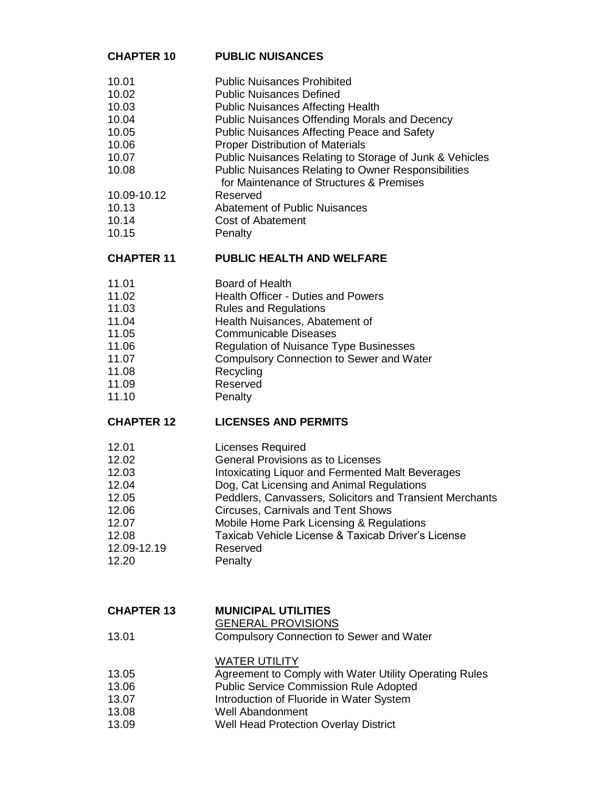#### **CHAPTER 10 PUBLIC NUISANCES**

- 10.01 Public Nuisances Prohibited
- 10.02 Public Nuisances Defined
- 10.03 Public Nuisances Affecting Health
- 10.04 Public Nuisances Offending Morals and Decency
- 10.05 Public Nuisances Affecting Peace and Safety
- 10.06 Proper Distribution of Materials
- 10.07 Public Nuisances Relating to Storage of Junk & Vehicles
- 10.08 Public Nuisances Relating to Owner Responsibilities
	- for Maintenance of Structures & Premises
- 10.09-10.12 Reserved
- 10.13 Abatement of Public Nuisances
- 10.14 Cost of Abatement
- 10.15 Penalty

### **CHAPTER 11 PUBLIC HEALTH AND WELFARE**

- 11.01 Board of Health
- 11.02 Health Officer Duties and Powers
- 11.03 Rules and Regulations
- 11.04 Health Nuisances, Abatement of
- 11.05 Communicable Diseases
- 11.06 Regulation of Nuisance Type Businesses
- 11.07 Compulsory Connection to Sewer and Water
- 11.08 Recycling
- 11.09 Reserved
- 11.10 Penalty

### **CHAPTER 12 LICENSES AND PERMITS**

- 12.01 Licenses Required
- 12.02 General Provisions as to Licenses
- 12.03 Intoxicating Liquor and Fermented Malt Beverages
- 12.04 Dog, Cat Licensing and Animal Regulations
- 12.05 Peddlers, Canvassers, Solicitors and Transient Merchants
- 12.06 Circuses, Carnivals and Tent Shows
- 12.07 Mobile Home Park Licensing & Regulations
- 12.08 Taxicab Vehicle License & Taxicab Driver's License
- 12.09-12.19 Reserved 12.20 Penalty
- 

### **CHAPTER 13 MUNICIPAL UTILITIES**

## GENERAL PROVISIONS

13.01 Compulsory Connection to Sewer and Water

### WATER UTILITY

- 13.05 Agreement to Comply with Water Utility Operating Rules
- 13.06 Public Service Commission Rule Adopted
- 13.07 **Introduction of Fluoride in Water System**
- 13.08 Well Abandonment
- 13.09 Well Head Protection Overlay District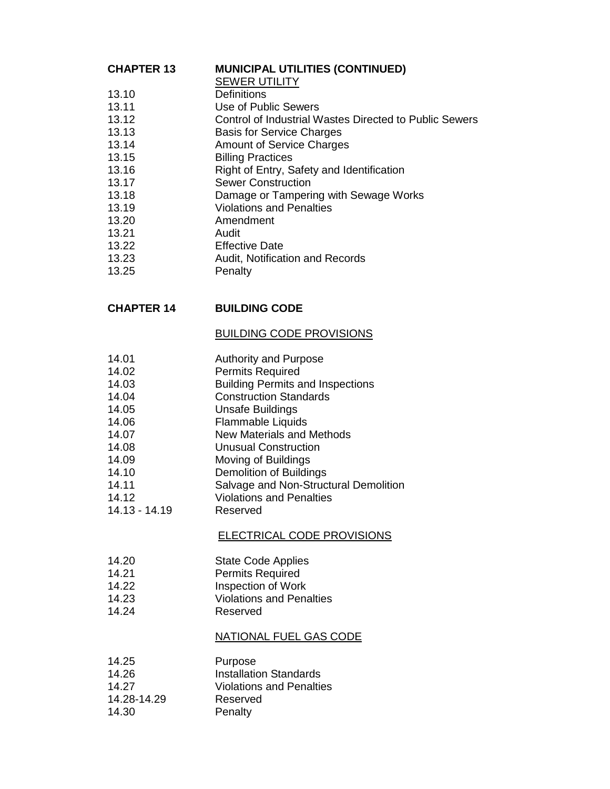### **CHAPTER 13 MUNICIPAL UTILITIES (CONTINUED)**

- SEWER UTILITY
- 13.10 Definitions
- 13.11 Use of Public Sewers
- 13.12 Control of Industrial Wastes Directed to Public Sewers
- 13.13 Basis for Service Charges
- 13.14 Amount of Service Charges
- 13.15 Billing Practices
- 13.16 Right of Entry, Safety and Identification
- 13.17 Sewer Construction
- 13.18 Damage or Tampering with Sewage Works
- 13.19 Violations and Penalties
- 13.20 Amendment
- 13.21 Audit
- 13.22 Effective Date
- 13.23 **Audit**, Notification and Records
- 13.25 Penalty

### **CHAPTER 14 BUILDING CODE**

#### BUILDING CODE PROVISIONS

- 14.01 **Authority and Purpose**
- 14.02 Permits Required
- 14.03 Building Permits and Inspections
- 14.04 Construction Standards
- 14.05 Unsafe Buildings
- 14.06 Flammable Liquids
- 14.07 New Materials and Methods
- 14.08 Unusual Construction
- 14.09 Moving of Buildings
- 14.10 Demolition of Buildings
- 14.11 Salvage and Non-Structural Demolition
- 14.12 Violations and Penalties
- 14.13 14.19 Reserved

### ELECTRICAL CODE PROVISIONS

- 14.20 State Code Applies
- 14.21 Permits Required
- 14.22 Inspection of Work
- 14.23 Violations and Penalties
- 14.24 Reserved

### NATIONAL FUEL GAS CODE

14.25 Purpose 14.26 Installation Standards 14.27 Violations and Penalties 14.28-14.29 Reserved 14.30 Penalty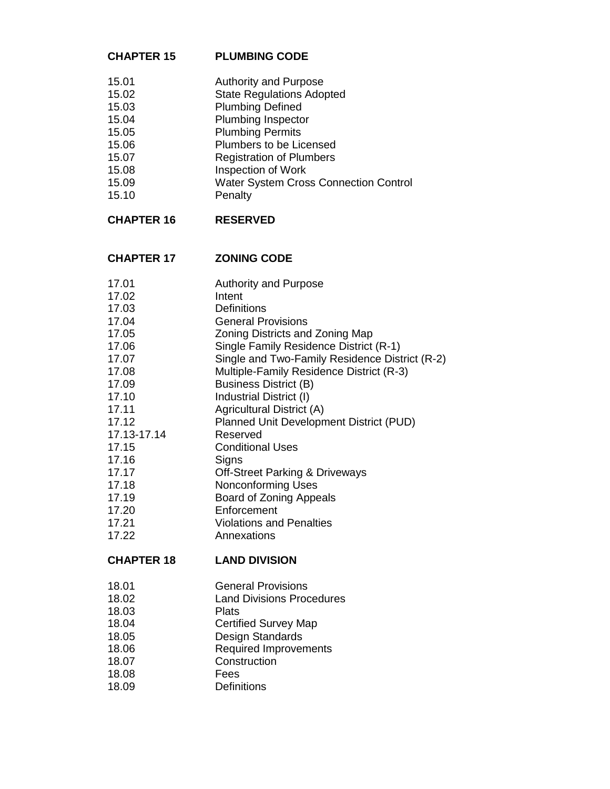### **CHAPTER 15 PLUMBING CODE**

- 15.01 **Authority and Purpose**<br>15.02 **State Requlations Adop**
- 15.02 State Regulations Adopted<br>15.03 Plumbing Defined
- Plumbing Defined
- 15.04 Plumbing Inspector
- 15.05 Plumbing Permits
- 15.06 Plumbers to be Licensed
- 15.07 Registration of Plumbers
- 15.08 Inspection of Work
- 15.09 Water System Cross Connection Control<br>15.10 Penalty
- Penalty

# **CHAPTER 16 RESERVED**

### **CHAPTER 17 ZONING CODE**

| 17.01             | <b>Authority and Purpose</b>                   |
|-------------------|------------------------------------------------|
| 17.02             | Intent                                         |
| 17.03             | <b>Definitions</b>                             |
| 17.04             | <b>General Provisions</b>                      |
| 17.05             | Zoning Districts and Zoning Map                |
| 17.06             | Single Family Residence District (R-1)         |
| 17.07             | Single and Two-Family Residence District (R-2) |
| 17.08             | Multiple-Family Residence District (R-3)       |
| 17.09             | <b>Business District (B)</b>                   |
| 17.10             | Industrial District (I)                        |
| 17.11             | Agricultural District (A)                      |
| 17.12             | Planned Unit Development District (PUD)        |
| 17.13-17.14       | Reserved                                       |
| 17.15             | <b>Conditional Uses</b>                        |
| 17.16             | Signs                                          |
| 17.17             | <b>Off-Street Parking &amp; Driveways</b>      |
| 17.18             | <b>Nonconforming Uses</b>                      |
| 17.19             | Board of Zoning Appeals                        |
| 17.20             | Enforcement                                    |
| 17.21             | <b>Violations and Penalties</b>                |
| 17.22             | Annexations                                    |
| <b>CHAPTER 18</b> | <b>LAND DIVISION</b>                           |
| 18.01             | <b>General Provisions</b>                      |
| 18.02             | <b>Land Divisions Procedures</b>               |
|                   |                                                |

- 18.03 Plats
- 18.04 Certified Survey Map
- 18.05 Design Standards
- 18.06 Required Improvements
- 18.07 Construction<br>18.08 Fees
- 18.08<br>18.09
- Definitions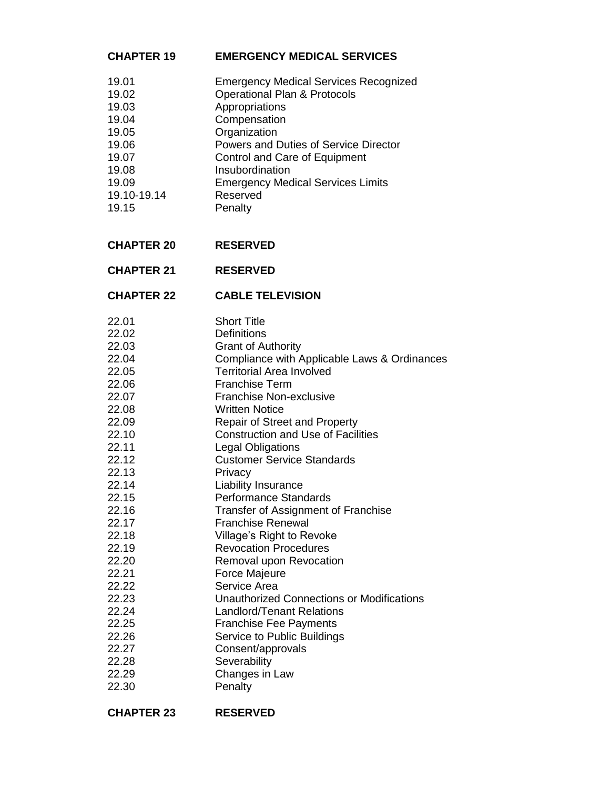# **CHAPTER 19 EMERGENCY MEDICAL SERVICES**

| 19.01       | <b>Emergency Medical Services Recognized</b> |
|-------------|----------------------------------------------|
| 19.02       | <b>Operational Plan &amp; Protocols</b>      |
| 19.03       | Appropriations                               |
| 19.04       | Compensation                                 |
| 19.05       | Organization                                 |
| 19.06       | Powers and Duties of Service Director        |
| 19.07       | Control and Care of Equipment                |
| 19.08       | Insubordination                              |
| 19.09       | <b>Emergency Medical Services Limits</b>     |
| 19.10-19.14 | Reserved                                     |
| 19.15       | Penalty                                      |
|             |                                              |

# **CHAPTER 20 RESERVED**

### **CHAPTER 22 CABLE TELEVISION**

| 22.01 | <b>Short Title</b>                           |
|-------|----------------------------------------------|
| 22.02 | Definitions                                  |
| 22.03 | <b>Grant of Authority</b>                    |
| 22.04 | Compliance with Applicable Laws & Ordinances |
| 22.05 | <b>Territorial Area Involved</b>             |
| 22.06 | <b>Franchise Term</b>                        |
| 22.07 | <b>Franchise Non-exclusive</b>               |
| 22.08 | <b>Written Notice</b>                        |
| 22.09 | <b>Repair of Street and Property</b>         |
| 22.10 | <b>Construction and Use of Facilities</b>    |
| 22.11 | <b>Legal Obligations</b>                     |
| 22.12 | <b>Customer Service Standards</b>            |
| 22.13 | Privacy                                      |
| 22.14 | Liability Insurance                          |
| 22.15 | <b>Performance Standards</b>                 |
| 22.16 | Transfer of Assignment of Franchise          |
| 22.17 | <b>Franchise Renewal</b>                     |
| 22.18 | Village's Right to Revoke                    |
| 22.19 | <b>Revocation Procedures</b>                 |
| 22.20 | Removal upon Revocation                      |
| 22.21 | Force Majeure                                |
| 22.22 | Service Area                                 |
| 22.23 | Unauthorized Connections or Modifications    |
| 22.24 | <b>Landlord/Tenant Relations</b>             |
| 22.25 | <b>Franchise Fee Payments</b>                |
| 22.26 | Service to Public Buildings                  |
| 22.27 | Consent/approvals                            |
| 22.28 | Severability                                 |
| 22.29 | Changes in Law                               |
| 22.30 | Penalty                                      |
|       |                                              |

| <b>CHAPTER 23</b> | <b>RESERVED</b> |
|-------------------|-----------------|
|                   |                 |